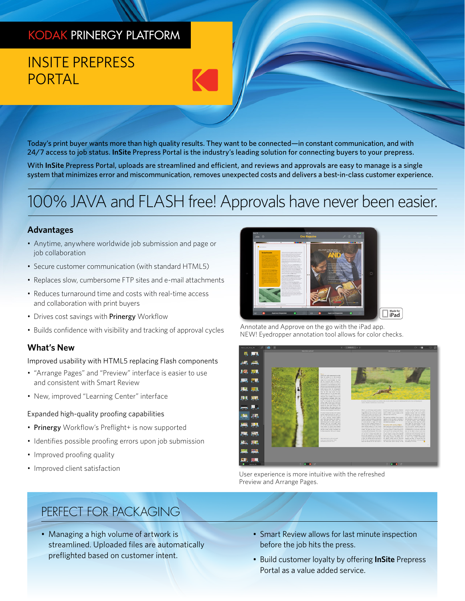# KODAK PRINERGY PLATFORM

# INSITE PREPRESS PORTAL

Today's print buyer wants more than high quality results. They want to be connected—in constant communication, and with 24/7 access to job status. **InSite** Prepress Portal is the industry's leading solution for connecting buyers to your prepress.

With **InSite** Prepress Portal, uploads are streamlined and efficient, and reviews and approvals are easy to manage is a single system that minimizes error and miscommunication, removes unexpected costs and delivers a best-in-class customer experience.

# 100% JAVA and FLASH free! Approvals have never been easier.

#### **Advantages**

- Anytime, anywhere worldwide job submission and page or job collaboration
- Secure customer communication (with standard HTML5)
- Replaces slow, cumbersome FTP sites and e-mail attachments
- Reduces turnaround time and costs with real-time access and collaboration with print buyers
- Drives cost savings with Prinergy Workflow
- Builds confidence with visibility and tracking of approval cycles

#### **What's New**

Improved usability with HTML5 replacing Flash components

- "Arrange Pages" and "Preview" interface is easier to use and consistent with Smart Review
- New, improved "Learning Center" interface

#### Expanded high-quality proofing capabilities

- Prinergy Workflow's Preflight+ is now supported
- Identifies possible proofing errors upon job submission
- Improved proofing quality
- Improved client satisfaction

# $\square$  iPad

Annotate and Approve on the go with the iPad app. NEW! Eyedropper annotation tool allows for color checks.



User experience is more intuitive with the refreshed Preview and Arrange Pages.

### PERFECT FOR PACKAGING

- Managing a high volume of artwork is streamlined. Uploaded files are automatically preflighted based on customer intent.
- Smart Review allows for last minute inspection before the job hits the press.
- Build customer loyalty by offering **InSite** Prepress Portal as a value added service.